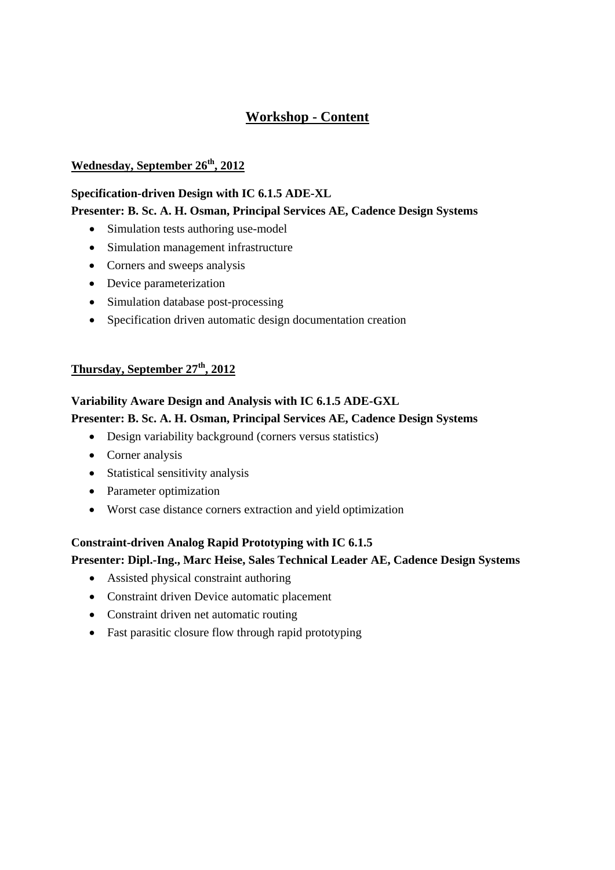# **Workshop - Content**

### **Wednesday, September 26th, 2012**

#### **Specification-driven Design with IC 6.1.5 ADE-XL**

### **Presenter: B. Sc. A. H. Osman, Principal Services AE, Cadence Design Systems**

- Simulation tests authoring use-model
- Simulation management infrastructure
- Corners and sweeps analysis
- Device parameterization
- Simulation database post-processing
- Specification driven automatic design documentation creation

### **Thursday, September 27th, 2012**

## **Variability Aware Design and Analysis with IC 6.1.5 ADE-GXL Presenter: B. Sc. A. H. Osman, Principal Services AE, Cadence Design Systems**

- Design variability background (corners versus statistics)
- Corner analysis
- Statistical sensitivity analysis
- Parameter optimization
- Worst case distance corners extraction and yield optimization

# **Constraint-driven Analog Rapid Prototyping with IC 6.1.5 Presenter: Dipl.-Ing., Marc Heise, Sales Technical Leader AE, Cadence Design Systems**

- Assisted physical constraint authoring
- Constraint driven Device automatic placement
- Constraint driven net automatic routing
- Fast parasitic closure flow through rapid prototyping